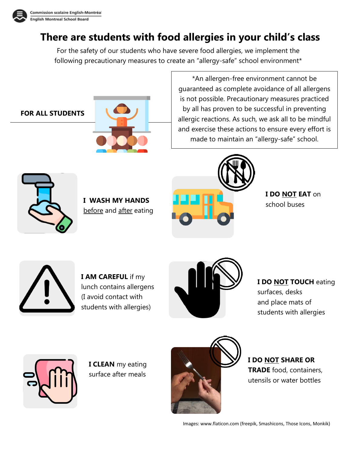

## **There are students with food allergies in your child's class**

For the safety of our students who have severe food allergies, we implement the following precautionary measures to create an "allergy-safe" school environment\*

### **FOR ALL STUDENTS**



\*An allergen-free environment cannot be guaranteed as complete avoidance of all allergens is not possible. Precautionary measures practiced by all has proven to be successful in preventing allergic reactions. As such, we ask all to be mindful and exercise these actions to ensure every effort is made to maintain an "allergy-safe" school.



**I WASH MY HANDS**  before and after eating



**I DO NOT EAT** on school buses



**I AM CAREFUL** if my lunch contains allergens (I avoid contact with students with allergies)



**I DO NOT TOUCH** eating surfaces, desks and place mats of

students with allergies



**I CLEAN** my eating surface after meals



**I DO NOT SHARE OR TRADE** food, containers, utensils or water bottles

Images[: www.flaticon.com](http://www.flaticon.com/) (freepik, Smashicons, Those Icons, Monkik)